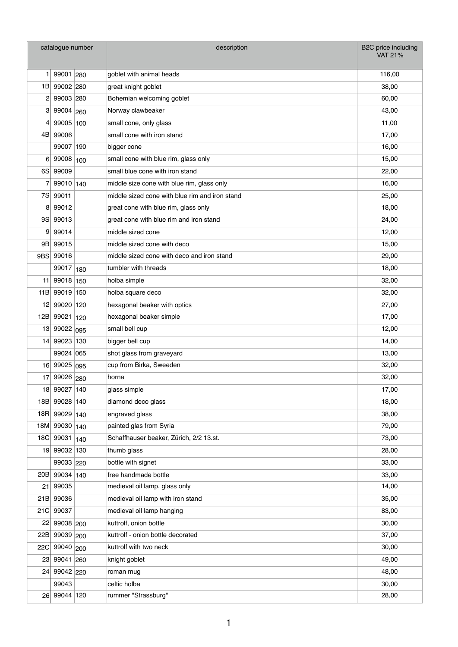| catalogue number |               | description                                    | B2C price including<br><b>VAT 21%</b> |
|------------------|---------------|------------------------------------------------|---------------------------------------|
| 1                | 99001 280     | goblet with animal heads                       | 116,00                                |
| 1B               | 99002 280     | great knight goblet                            | 38,00                                 |
| 2                | 99003 280     | Bohemian welcoming goblet                      | 60,00                                 |
| 3                | 99004 260     | Norway clawbeaker                              | 43,00                                 |
| 4                | 99005 100     | small cone, only glass                         | 11,00                                 |
| 4BI              | 99006         | small cone with iron stand                     | 17,00                                 |
|                  | 99007 190     | bigger cone                                    | 16,00                                 |
| 6                | 99008 100     | small cone with blue rim, glass only           | 15,00                                 |
| 6S               | 99009         | small blue cone with iron stand                | 22,00                                 |
| 7                | 99010 140     | middle size cone with blue rim, glass only     | 16,00                                 |
| 7S               | 99011         | middle sized cone with blue rim and iron stand | 25,00                                 |
| 8                | 99012         | great cone with blue rim, glass only           | 18,00                                 |
| 9S               | 99013         | great cone with blue rim and iron stand        | 24,00                                 |
| 9                | 99014         | middle sized cone                              | 12,00                                 |
| 9B               | 99015         | middle sized cone with deco                    | 15,00                                 |
| 9BS              | 99016         | middle sized cone with deco and iron stand     | 29,00                                 |
|                  | 99017 180     | tumbler with threads                           | 18,00                                 |
| 11 <sup>1</sup>  | 99018 150     | holba simple                                   | 32,00                                 |
| 11B              | 99019 150     | holba square deco                              | 32,00                                 |
| 12 <sub>1</sub>  | 99020 120     | hexagonal beaker with optics                   | 27,00                                 |
| 12B              | 99021 120     | hexagonal beaker simple                        | 17,00                                 |
| 13 <sub>1</sub>  | 99022 095     | small bell cup                                 | 12,00                                 |
| 14               | 99023 130     | bigger bell cup                                | 14,00                                 |
|                  | 99024 065     | shot glass from graveyard                      | 13,00                                 |
| 16 <sup>1</sup>  | 99025 095     | cup from Birka, Sweeden                        | 32,00                                 |
| 17               | 99026 280     | horna                                          | 32,00                                 |
| 18               | 99027 140     | glass simple                                   | 17,00                                 |
|                  | 18B 99028 140 | diamond deco glass                             | 18,00                                 |
| 18R              | 99029 140     | engraved glass                                 | 38,00                                 |
| 18M              | 99030 140     | painted glas from Syria                        | 79,00                                 |
| 18C              | 99031 140     | Schaffhauser beaker, Zürich, 2/2 13.st.        | 73,00                                 |
|                  | 19 99032 130  | thumb glass                                    | 28,00                                 |
|                  | 99033 220     | bottle with signet                             | 33,00                                 |
| 20B              | 99034 140     | free handmade bottle                           | 33,00                                 |
| 21               | 99035         | medieval oil lamp, glass only                  | 14,00                                 |
| 21B              | 99036         | medieval oil lamp with iron stand              | 35,00                                 |
| 21C              | 99037         | medieval oil lamp hanging                      | 83,00                                 |
| 221              | 99038 200     | kuttrolf, onion bottle                         | 30,00                                 |
| 22B              | 99039 200     | kuttrolf - onion bottle decorated              | 37,00                                 |
| 22C              | 99040 200     | kuttrolf with two neck                         | 30,00                                 |
| 23               | 99041 260     | knight goblet                                  | 49,00                                 |
| 24 <sub>1</sub>  | 99042 220     | roman mug                                      | 48,00                                 |
|                  | 99043         | celtic holba                                   | 30,00                                 |
| 26 <sub>1</sub>  | 99044 120     | rummer "Strassburg"                            | 28,00                                 |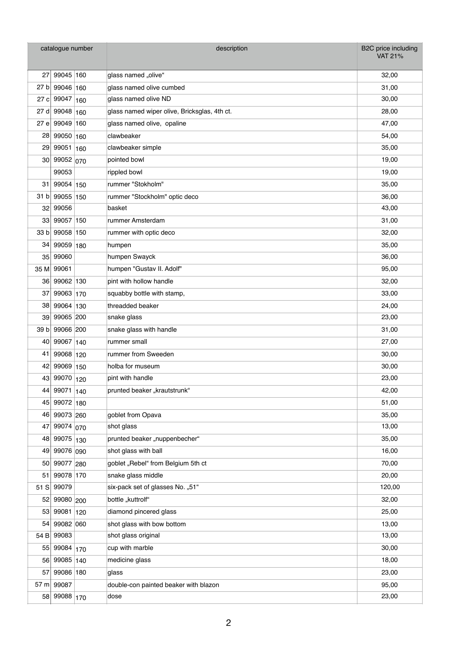| catalogue number |              | description                                  | B2C price including<br><b>VAT 21%</b> |
|------------------|--------------|----------------------------------------------|---------------------------------------|
| 27               | 99045 160    | glass named "olive"                          | 32,00                                 |
| 27 b             | 99046 160    | glass named olive cumbed                     | 31,00                                 |
| 27 cl            | 99047 160    | glass named olive ND                         | 30,00                                 |
| 27 d             | 99048 160    | glass named wiper olive, Bricksglas, 4th ct. | 28,00                                 |
| 27 e             | 99049 160    | glass named olive, opaline                   | 47,00                                 |
| 28               | 99050 160    | clawbeaker                                   | 54,00                                 |
| 29 <sub>1</sub>  | 99051 160    | clawbeaker simple                            | 35,00                                 |
| 30 <sub>0</sub>  | 99052 070    | pointed bowl                                 | 19,00                                 |
|                  | 99053        | rippled bowl                                 | 19,00                                 |
| 31               | 99054 150    | rummer "Stokholm"                            | 35,00                                 |
| 31 bl            | 99055 150    | rummer "Stockholm" optic deco                | 36,00                                 |
| 32               | 99056        | basket                                       | 43,00                                 |
| 33               | 99057 150    | rummer Amsterdam                             | 31,00                                 |
| 33 b             | 99058 150    | rummer with optic deco                       | 32,00                                 |
| 34               | 99059 180    | humpen                                       | 35,00                                 |
| $35$             | 99060        | humpen Swayck                                | 36,00                                 |
| 35 M             | 99061        | humpen "Gustav II. Adolf"                    | 95,00                                 |
|                  | 36 99062 130 | pint with hollow handle                      | 32,00                                 |
| 37               | 99063 170    | squabby bottle with stamp,                   | 33,00                                 |
| 38               | 99064 130    | threadded beaker                             | 24,00                                 |
| 39               | 99065 200    | snake glass                                  | 23,00                                 |
| 39 b             | 99066 200    | snake glass with handle                      | 31,00                                 |
| 40               | 99067 140    | rummer small                                 | 27,00                                 |
| 41               | 99068 120    | rummer from Sweeden                          | 30,00                                 |
| 42               | 99069 150    | holba for museum                             | 30,00                                 |
|                  | 43 99070 120 | pint with handle                             | 23,00                                 |
| 44               | 99071 140    | prunted beaker "krautstrunk"                 | 42,00                                 |
|                  | 45 99072 180 |                                              | 51,00                                 |
|                  | 46 99073 260 | goblet from Opava                            | 35,00                                 |
| 47               | 99074 070    | shot glass                                   | 13,00                                 |
| 48               | 99075 130    | prunted beaker "nuppenbecher"                | 35,00                                 |
| 49               | 99076 090    | shot glass with ball                         | 16,00                                 |
| 50               | 99077 280    | goblet "Rebel" from Belgium 5th ct           | 70,00                                 |
| 51               | 99078 170    | snake glass middle                           | 20,00                                 |
| 51S              | 99079        | six-pack set of glasses No. "51"             | 120,00                                |
| 52               | 99080 200    | bottle "kuttrolf"                            | 32,00                                 |
| 53               | 99081 120    | diamond pincered glass                       | 25,00                                 |
| 54               | 99082 060    | shot glass with bow bottom                   | 13,00                                 |
| 54 B             | 99083        | shot glass original                          | 13,00                                 |
|                  | 55 99084 170 | cup with marble                              | 30,00                                 |
| 56               | 99085 140    | medicine glass                               | 18,00                                 |
| 57               | 99086 180    | glass                                        | 23,00                                 |
| 57 $m$           | 99087        | double-con painted beaker with blazon        | 95,00                                 |
|                  | 58 99088 170 | dose                                         | 23,00                                 |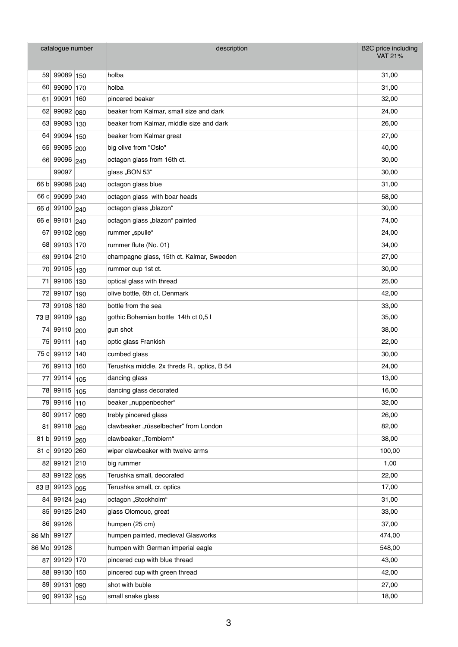| catalogue number |                        |     | description                                 | B2C price including<br><b>VAT 21%</b> |
|------------------|------------------------|-----|---------------------------------------------|---------------------------------------|
|                  |                        |     |                                             |                                       |
|                  | 59 99089 150           |     | holba                                       | 31,00                                 |
| 60               | 99090 170<br>99091 160 |     | holba<br>pincered beaker                    | 31,00                                 |
| 61               |                        |     |                                             | 32,00                                 |
| 62               | 99092 080              |     | beaker from Kalmar, small size and dark     | 24,00                                 |
| 63               | 99093 130              |     | beaker from Kalmar, middle size and dark    | 26,00                                 |
| 64               | 99094 150              |     | beaker from Kalmar great                    | 27,00                                 |
|                  | 65 99095 200           |     | big olive from "Oslo"                       | 40,00                                 |
| 66               | 99096 240              |     | octagon glass from 16th ct.                 | 30,00                                 |
|                  | 99097                  |     | glass "BON 53"                              | 30,00                                 |
|                  | 66 b 99098 240         |     | octagon glass blue                          | 31,00                                 |
| 66 c             | 99099 240              |     | octagon glass with boar heads               | 58,00                                 |
| 66 d             | 99100 240              |     | octagon glass "blazon"                      | 30,00                                 |
|                  | 66 e 99101 240         |     | octagon glass "blazon" painted              | 74,00                                 |
| 67               | 99102 090              |     | rummer "spulle"                             | 24,00                                 |
|                  | 68 99103 170           |     | rummer flute (No. 01)                       | 34,00                                 |
|                  | 69 99104 210           |     | champagne glass, 15th ct. Kalmar, Sweeden   | 27,00                                 |
| 70               | 99105 130              |     | rummer cup 1st ct.                          | 30,00                                 |
| 71               | 99106 130              |     | optical glass with thread                   | 25,00                                 |
| 72               | 99107 190              |     | olive bottle, 6th ct, Denmark               | 42,00                                 |
| 73               | 99108 180              |     | bottle from the sea                         | 33,00                                 |
| 73 B             | 99109 180              |     | gothic Bohemian bottle 14th ct 0,5 l        | 35,00                                 |
| 74               | 99110 200              |     | gun shot                                    | 38,00                                 |
| 75               | 99111 140              |     | optic glass Frankish                        | 22,00                                 |
| 75 $c$           | 99112 140              |     | cumbed glass                                | 30,00                                 |
| 76               | 99113 160              |     | Terushka middle, 2x threds R., optics, B 54 | 24,00                                 |
| 77               | 99114 105              |     | dancing glass                               | 13,00                                 |
|                  | 78 99115               | 105 | dancing glass decorated                     | 16,00                                 |
| 79               | 99116 110              |     | beaker "nuppenbecher"                       | 32,00                                 |
| 80               | 99117 090              |     | trebly pincered glass                       | 26,00                                 |
| 81               | 99118 260              |     | clawbeaker "rüsselbecher" from London       | 82,00                                 |
| 81 b             | 99119                  | 260 | clawbeaker "Tornbiern"                      | 38,00                                 |
| 81 cl            | 99120 260              |     | wiper clawbeaker with twelve arms           | 100,00                                |
|                  | 82 99121 210           |     | big rummer                                  | 1,00                                  |
|                  | 83 99122 095           |     | Terushka small, decorated                   | 22,00                                 |
| 83 B             | 99123 095              |     | Terushka small, cr. optics                  | 17,00                                 |
| 84               | 99124 240              |     | octagon "Stockholm"                         | 31,00                                 |
| 85               | 99125 240              |     | glass Olomouc, great                        | 33,00                                 |
|                  | 86 99126               |     | humpen (25 cm)                              | 37,00                                 |
| 86 Mh            | 99127                  |     | humpen painted, medieval Glasworks          | 474,00                                |
|                  | 86 Mo 99128            |     | humpen with German imperial eagle           | 548,00                                |
| 87               | 99129 170              |     | pincered cup with blue thread               | 43,00                                 |
|                  | 88 99130 150           |     | pincered cup with green thread              | 42,00                                 |
| 89               | 99131 090              |     | shot with buble                             | 27,00                                 |
| 90               | 99132 150              |     | small snake glass                           | 18,00                                 |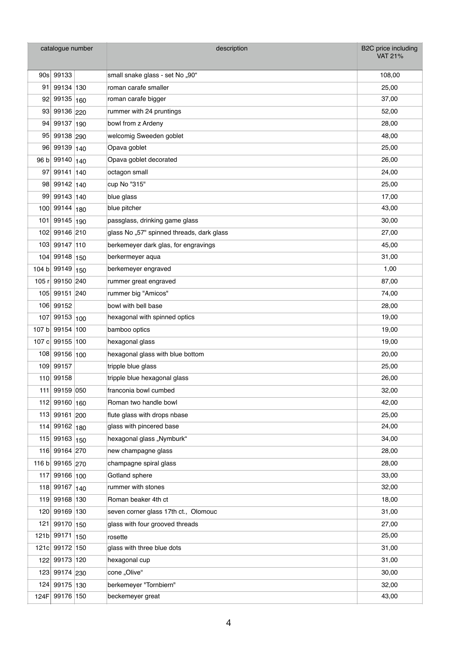| catalogue number |                  | description                               | B2C price including<br><b>VAT 21%</b> |
|------------------|------------------|-------------------------------------------|---------------------------------------|
|                  | 90s 99133        | small snake glass - set No "90"           | 108,00                                |
| 91               | 99134 130        | roman carafe smaller                      | 25,00                                 |
| 92               | 99135 160        | roman carafe bigger                       | 37,00                                 |
| 93               | 99136 220        | rummer with 24 pruntings                  | 52,00                                 |
| 94               | 99137 190        | bowl from z Ardeny                        | 28,00                                 |
| 95               | 99138 290        | welcomig Sweeden goblet                   | 48,00                                 |
| 96               | 99139 140        | Opava goblet                              | 25,00                                 |
| 96 bl            | 99140 140        | Opava goblet decorated                    | 26,00                                 |
| 97               | $99141 \mid 140$ | octagon small                             | 24,00                                 |
|                  | 98 99142 140     | cup No "315"                              | 25,00                                 |
| 99               | 99143 140        | blue glass                                | 17,00                                 |
| 100              | 99144 180        | blue pitcher                              | 43,00                                 |
| 101              | 99145 190        | passglass, drinking game glass            | 30,00                                 |
| 102              | 99146 210        | glass No "57" spinned threads, dark glass | 27,00                                 |
| 103              | 99147 110        | berkemeyer dark glas, for engravings      | 45,00                                 |
| 104              | 99148 150        | berkermeyer aqua                          | 31,00                                 |
| 104 b            | 99149 150        | berkemeyer engraved                       | 1,00                                  |
| 105 $r$          | 99150 240        | rummer great engraved                     | 87,00                                 |
| 105              | 99151 240        | rummer big "Amicos"                       | 74,00                                 |
|                  | 106 99152        | bowl with bell base                       | 28,00                                 |
| 107              | $99153 _{100}$   | hexagonal with spinned optics             | 19,00                                 |
| 107 b            | 99154 100        | bamboo optics                             | 19,00                                 |
|                  | 107 c 99155 100  | hexagonal glass                           | 19,00                                 |
|                  | 108 99156 100    | hexagonal glass with blue bottom          | 20,00                                 |
| 109              | 99157            | tripple blue glass                        | 25,00                                 |
| 110              | 99158            | tripple blue hexagonal glass              | 26,00                                 |
| 111              | 99159 050        | franconia bowl cumbed                     | 32,00                                 |
| 112              | 99160 160        | Roman two handle bowl                     | 42,00                                 |
| 113              | 99161 200        | flute glass with drops nbase              | 25,00                                 |
| 114              | 99162 180        | glass with pincered base                  | 24,00                                 |
| 115              | 99163 150        | hexagonal glass "Nymburk"                 | 34,00                                 |
| 116              | 99164 270        | new champagne glass                       | 28,00                                 |
| 116 b            | 99165 270        | champagne spiral glass                    | 28,00                                 |
| 117              | 99166 100        | Gotland sphere                            | 33,00                                 |
|                  | 118 99167 140    | rummer with stones                        | 32,00                                 |
| 119              | 99168 130        | Roman beaker 4th ct                       | 18,00                                 |
| 120              | 99169 130        | seven corner glass 17th ct., Olomouc      | 31,00                                 |
| 121              | 99170 150        | glass with four grooved threads           | 27,00                                 |
| 121 <sub>b</sub> | 99171 150        | rosette                                   | 25,00                                 |
| 121c             | 99172 150        | glass with three blue dots                | 31,00                                 |
|                  | 122 99173 120    | hexagonal cup                             | 31,00                                 |
| 123              | 99174 230        | cone "Olive"                              | 30,00                                 |
| 124              | 99175 130        | berkemeyer "Tornbiern"                    | 32,00                                 |
| 124F             | 99176 150        | beckemeyer great                          | 43,00                                 |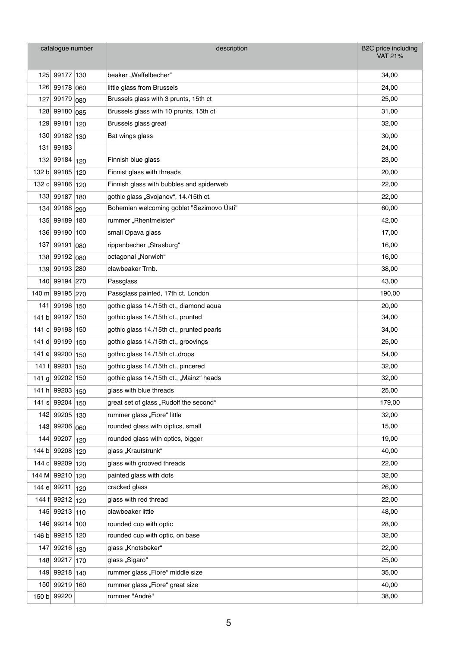| catalogue number |                 |     | description                               | B2C price including<br><b>VAT 21%</b> |
|------------------|-----------------|-----|-------------------------------------------|---------------------------------------|
| 125              | 99177 130       |     | beaker "Waffelbecher"                     | 34,00                                 |
|                  | 126 99178 060   |     | little glass from Brussels                | 24,00                                 |
| 127              | 99179           | 080 | Brussels glass with 3 prunts, 15th ct     | 25,00                                 |
| 128              | 99180 085       |     | Brussels glass with 10 prunts, 15th ct    | 31,00                                 |
| 129              | 99181 120       |     | Brussels glass great                      | 32,00                                 |
| 130              | 99182 130       |     | Bat wings glass                           | 30,00                                 |
| 131              | 99183           |     |                                           | 24,00                                 |
| 132              | 99184 120       |     | Finnish blue glass                        | 23,00                                 |
| 132 b            | 99185 120       |     | Finnist glass with threads                | 20,00                                 |
| 132 $ c $        | 99186 120       |     | Finnish glass with bubbles and spiderweb  | 22,00                                 |
|                  | 133 99187 180   |     | gothic glass "Svojanov", 14./15th ct.     | 22,00                                 |
| 134              | 99188 290       |     | Bohemian welcoming goblet "Sezimovo Ústí" | 60,00                                 |
| 135              | 99189 180       |     | rummer "Rhentmeister"                     | 42,00                                 |
|                  | 136 99190 100   |     | small Opava glass                         | 17,00                                 |
| 137              | 99191 080       |     | rippenbecher "Strasburg"                  | 16,00                                 |
| 138              | 99192 080       |     | octagonal "Norwich"                       | 16,00                                 |
| 139              | 99193 280       |     | clawbeaker Trnb.                          | 38,00                                 |
| 140              | 99194 270       |     | Passglass                                 | 43,00                                 |
| 140 m            | 99195 270       |     | Passglass painted, 17th ct. London        | 190,00                                |
| 141              | 99196 150       |     | gothic glass 14./15th ct., diamond agua   | 20,00                                 |
| 141 bl           | 99197 150       |     | gothic glass 14./15th ct., prunted        | 34,00                                 |
| 141 c            | 99198 150       |     | gothic glass 14./15th ct., prunted pearls | 34,00                                 |
| 141 dl           | 99199 150       |     | gothic glass 14./15th ct., groovings      | 25,00                                 |
| 141 e            | 99200 150       |     | gothic glass 14./15th ct., drops          | 54,00                                 |
| 141 f            | 99201 150       |     | gothic glass 14./15th ct., pincered       | 32,00                                 |
|                  | 141 g 99202 150 |     | gothic glass 14./15th ct., "Mainz" heads  | 32,00                                 |
| 141 h            | 99203 150       |     | glass with blue threads                   | 25,00                                 |
| 141 s            | 99204 150       |     | great set of glass "Rudolf the second"    | 179,00                                |
| 142              | 99205 130       |     | rummer glass "Fiore" little               | 32,00                                 |
| 143              | 99206 060       |     | rounded glass with oiptics, small         | 15,00                                 |
| 144              | 99207 120       |     | rounded glass with optics, bigger         | 19,00                                 |
| 144 b            | 99208 120       |     | glass "Krautstrunk"                       | 40,00                                 |
| 144 c            | 99209 120       |     | glass with grooved threads                | 22,00                                 |
| 144 M            | 99210 120       |     | painted glass with dots                   | 32,00                                 |
| 144 e            | 99211           | 120 | cracked glass                             | 26,00                                 |
| 144 f            | 99212 120       |     | glass with red thread                     | 22,00                                 |
| 145              | 99213 110       |     | clawbeaker little                         | 48,00                                 |
| 146              | 99214 100       |     | rounded cup with optic                    | 28,00                                 |
|                  | 146 b 99215 120 |     | rounded cup with optic, on base           | 32,00                                 |
| 147              | 99216 130       |     | glass "Knotsbeker"                        | 22,00                                 |
| 148              | 99217 170       |     | glass "Sigaro"                            | 25,00                                 |
| 149              | 99218 140       |     | rummer glass "Fiore" middle size          | 35,00                                 |
| 150              | 99219 160       |     | rummer glass "Fiore" great size           | 40,00                                 |
| 150 b            | 99220           |     | rummer "André"                            | 38,00                                 |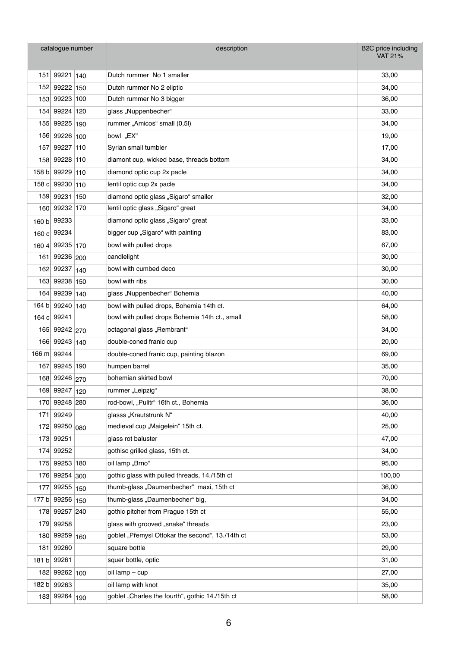| catalogue number |             | description                                      | <b>B2C</b> price including<br><b>VAT 21%</b> |
|------------------|-------------|--------------------------------------------------|----------------------------------------------|
| 151              | 99221 140   | Dutch rummer No 1 smaller                        | 33,00                                        |
| 152              | 99222 150   | Dutch rummer No 2 eliptic                        | 34,00                                        |
| 153              | 99223 100   | Dutch rummer No 3 bigger                         | 36,00                                        |
| 154              | 99224 120   | glass "Nuppenbecher"                             | 33,00                                        |
| 155              | 99225 190   | rummer "Amicos" small (0,5l)                     | 34,00                                        |
| 156              | 99226 100   | bowl "EX"                                        | 19,00                                        |
| 157              | 99227 110   | Syrian small tumbler                             | 17,00                                        |
| 158              | 99228 110   | diamont cup, wicked base, threads bottom         | 34,00                                        |
| 158 b            | 99229 110   | diamond optic cup 2x pacle                       | 34,00                                        |
| 158 c            | 99230 110   | lentil optic cup 2x pacle                        | 34,00                                        |
| 159              | 99231 150   | diamond optic glass "Sigaro" smaller             | 32,00                                        |
| 160              | 99232 170   | lentil optic glass "Sigaro" great                | 34,00                                        |
| 160 b            | 99233       | diamond optic glass "Sigaro" great               | 33,00                                        |
|                  | 160 c 99234 | bigger cup "Sigaro" with painting                | 83,00                                        |
| 1604             | 99235 170   | bowl with pulled drops                           | 67,00                                        |
| 161              | 99236 200   | candlelight                                      | 30,00                                        |
| 162              | 99237 140   | bowl with cumbed deco                            | 30,00                                        |
| 163              | 99238 150   | bowl with ribs                                   | 30,00                                        |
| 164              | 99239 140   | glass "Nuppenbecher" Bohemia                     | 40,00                                        |
| 164 b            | 99240 140   | bowl with pulled drops, Bohemia 14th ct.         | 64,00                                        |
| 164 c            | 99241       | bowl with pulled drops Bohemia 14th ct., small   | 58,00                                        |
| 165              | 99242 270   | octagonal glass "Rembrant"                       | 34,00                                        |
| 166              | 99243 140   | double-coned franic cup                          | 20,00                                        |
| 166 $m$          | 99244       | double-coned franic cup, painting blazon         | 69,00                                        |
| 167              | 99245 190   | humpen barrel                                    | 35,00                                        |
| 168              | 99246 270   | bohemian skirted bowl                            | 70,00                                        |
| 169              | 99247 120   | rummer "Leipzig"                                 | 38,00                                        |
| 170              | 99248 280   | rod-bowl, "Pulitr" 16th ct., Bohemia             | 36,00                                        |
| 171              | 99249       | glasss "Krautstrunk N"                           | 40,00                                        |
| 172              | 99250 080   | medieval cup "Maigelein" 15th ct.                | 25,00                                        |
| 173              | 99251       | glass rot baluster                               | 47,00                                        |
| 174              | 99252       | gothisc grilled glass, 15th ct.                  | 34,00                                        |
| 175              | 99253 180   | oil lamp "Brno"                                  | 95,00                                        |
| 176              | 99254 300   | gothic glass with pulled threads, 14./15th ct    | 100,00                                       |
| 177              | 99255 150   | thumb-glass "Daumenbecher" maxi, 15th ct         | 36,00                                        |
| 177 b            | 99256 150   | thumb-glass "Daumenbecher" big,                  | 34,00                                        |
| 178              | 99257 240   | gothic pitcher from Prague 15th ct               | 55,00                                        |
| 179              | 99258       | glass with grooved "snake" threads               | 23,00                                        |
| 180              | 99259 160   | goblet "Přemysl Ottokar the second", 13./14th ct | 53,00                                        |
| 181              | 99260       | square bottle                                    | 29,00                                        |
| 181 b            | 99261       | squer bottle, optic                              | 31,00                                        |
| 182              | 99262 100   | oil lamp - cup                                   | 27,00                                        |
| 182 b            | 99263       | oil lamp with knot                               | 35,00                                        |
| 183              | 99264 190   | goblet "Charles the fourth", gothic 14./15th ct  | 58,00                                        |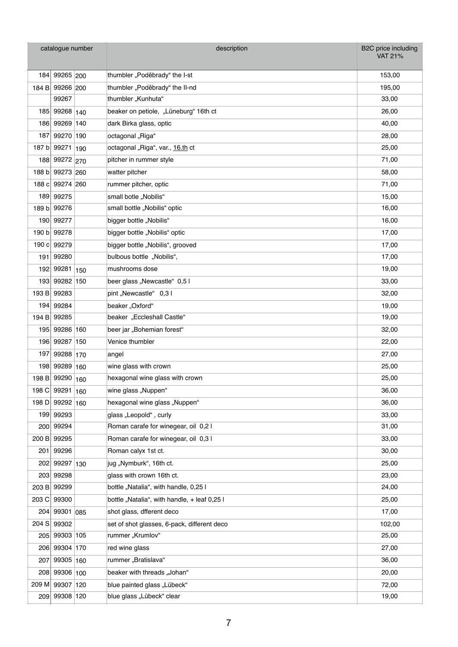| catalogue number |                 |     | description                                  | B2C price including<br><b>VAT 21%</b> |
|------------------|-----------------|-----|----------------------------------------------|---------------------------------------|
| 184              | 99265 200       |     | thumbler "Poděbrady" the I-st                | 153,00                                |
|                  | 184 B 99266 200 |     | thumbler "Poděbrady" the II-nd               | 195,00                                |
|                  | 99267           |     | thumbler "Kunhuta"                           | 33,00                                 |
|                  | 185 99268 140   |     | beaker on petiole, "Lüneburg" 16th ct        | 26,00                                 |
| 186              | 99269 140       |     | dark Birka glass, optic                      | 40,00                                 |
| 187              | 99270 190       |     | octagonal "Riga"                             | 28,00                                 |
| 187 bl           | 99271 190       |     | octagonal "Riga", var., 16.th ct             | 25,00                                 |
| 188              | 99272 270       |     | pitcher in rummer style                      | 71,00                                 |
| 188 b            | 99273 260       |     | watter pitcher                               | 58,00                                 |
| 188 cl           | 99274 260       |     | rummer pitcher, optic                        | 71,00                                 |
| 189              | 99275           |     | small botle "Nobilis"                        | 15,00                                 |
| 189 b            | 99276           |     | small bottle "Nobilis" optic                 | 16,00                                 |
| 190              | 99277           |     | bigger bottle "Nobilis"                      | 16,00                                 |
| 190 b            | 99278           |     | bigger bottle "Nobilis" optic                | 17,00                                 |
|                  | 190 c 99279     |     | bigger bottle "Nobilis", grooved             | 17,00                                 |
| 191              | 99280           |     | bulbous bottle "Nobilis",                    | 17,00                                 |
| 192              | 99281 150       |     | mushrooms dose                               | 19,00                                 |
| 193              | 99282 150       |     | beer glass "Newcastle" 0,5 l                 | 33,00                                 |
| 193B             | 99283           |     | pint "Newcastle" 0,3 l                       | 32,00                                 |
| 194              | 99284           |     | beaker "Oxford"                              | 19,00                                 |
| 194 B            | 99285           |     | beaker "Eccleshall Castle"                   | 19,00                                 |
| 195              | 99286 160       |     | beer jar "Bohemian forest"                   | 32,00                                 |
|                  | 196 99287 150   |     | Venice thumbler                              | 22,00                                 |
| 197              | 99288 170       |     | angel                                        | 27,00                                 |
| 198              | 99289 160       |     | wine glass with crown                        | 25,00                                 |
| 198B             | 99290 160       |     | hexagonal wine glass with crown              | 25,00                                 |
| 198 C            | 99291           | 160 | wine glass "Nuppen"                          | 36,00                                 |
| 198 D            | 99292 160       |     | hexagonal wine glass "Nuppen"                | 36,00                                 |
| 199              | 99293           |     | glass "Leopold", curly                       | 33,00                                 |
| 200              | 99294           |     | Roman carafe for winegear, oil 0,2 l         | 31,00                                 |
| 200 B            | 99295           |     | Roman carafe for winegear, oil 0,3 l         | 33,00                                 |
| 201              | 99296           |     | Roman calyx 1st ct.                          | 30,00                                 |
| 202              | 99297 130       |     | jug "Nymburk", 16th ct.                      | 25,00                                 |
| 203              | 99298           |     | glass with crown 16th ct.                    | 23,00                                 |
| 203 B            | 99299           |     | bottle "Natalia", with handle, 0,25 l        | 24,00                                 |
| 203 C            | 99300           |     | bottle "Natalia", with handle, + leaf 0,25 l | 25,00                                 |
| 204              | 99301 085       |     | shot glass, dfferent deco                    | 17,00                                 |
| 204 S            | 99302           |     | set of shot glasses, 6-pack, different deco  | 102,00                                |
| 205              | 99303 105       |     | rummer "Krumlov"                             | 25,00                                 |
| 206              | 99304 170       |     | red wine glass                               | 27,00                                 |
| 207              | 99305 160       |     | rummer "Bratislava"                          | 36,00                                 |
| 208              | 99306 100       |     | beaker with threads "Johan"                  | 20,00                                 |
| 209 M            | 99307 120       |     | blue painted glass "Lübeck"                  | 72,00                                 |
| 209              | 99308 120       |     | blue glass "Lübeck" clear                    | 19,00                                 |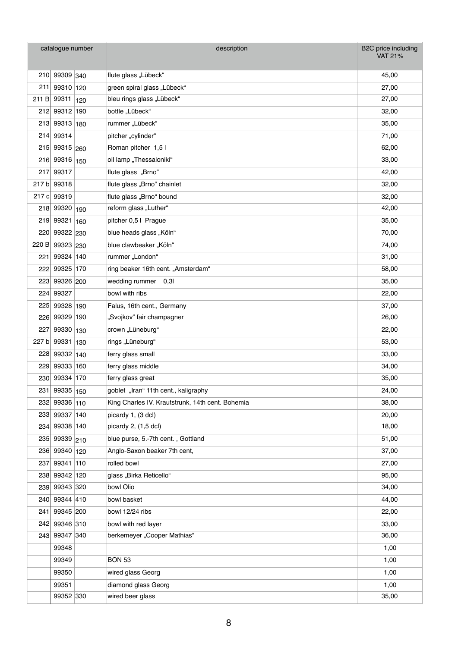| catalogue number |               | description                                      | B2C price including<br><b>VAT 21%</b> |
|------------------|---------------|--------------------------------------------------|---------------------------------------|
|                  | 210 99309 340 | flute glass "Lübeck"                             | 45,00                                 |
| 211              | 99310 120     | green spiral glass "Lübeck"                      | 27,00                                 |
| 211 B            | 99311 120     | bleu rings glass "Lübeck"                        | 27,00                                 |
|                  | 212 99312 190 | bottle "Lübeck"                                  | 32,00                                 |
| 213              | 99313 180     | rummer "Lübeck"                                  | 35,00                                 |
| 214              | 99314         | pitcher "cylinder"                               | 71,00                                 |
| 215              | 99315 260     | Roman pitcher 1,5 l                              | 62,00                                 |
| 216              | 99316 150     | oil lamp "Thessaloniki"                          | 33,00                                 |
| 217              | 99317         | flute glass "Brno"                               | 42,00                                 |
| 217 b            | 99318         | flute glass "Brno" chainlet                      | 32,00                                 |
| 217c             | 99319         | flute glass "Brno" bound                         | 32,00                                 |
| 218              | 99320 190     | reform glass "Luther"                            | 42,00                                 |
| 219              | 99321 160     | pitcher 0,5   Prague                             | 35,00                                 |
| 220              | 99322 230     | blue heads glass "Köln"                          | 70,00                                 |
| 220 B            | 99323 230     | blue clawbeaker "Köln"                           | 74,00                                 |
| 221              | 99324 140     | rummer "London"                                  | 31,00                                 |
| 222              | 99325 170     | ring beaker 16th cent. "Amsterdam"               | 58,00                                 |
| 223              | 99326 200     | wedding rummer 0,3l                              | 35,00                                 |
| 224              | 99327         | bowl with ribs                                   | 22,00                                 |
| 225              | 99328 190     | Falus, 16th cent., Germany                       | 37,00                                 |
| 226              | 99329 190     | "Svojkov" fair champagner                        | 26,00                                 |
| 227              | 99330 130     | crown "Lüneburg"                                 | 22,00                                 |
| 227 b            | 99331 130     | rings "Lüneburg"                                 | 53,00                                 |
| 228              | 99332 140     | ferry glass small                                | 33,00                                 |
| 229              | 99333 160     | ferry glass middle                               | 34,00                                 |
| 230              | 99334 170     | ferry glass great                                | 35,00                                 |
| 231              | 99335 150     | goblet "Iran" 11th cent., kaligraphy             | 24,00                                 |
|                  | 232 99336 110 | King Charles IV. Krautstrunk, 14th cent. Bohemia | 38,00                                 |
|                  | 233 99337 140 | picardy 1, (3 dcl)                               | 20,00                                 |
| 234              | 99338 140     | picardy $2, (1,5$ dcl)                           | 18,00                                 |
|                  | 235 99339 210 | blue purse, 5.-7th cent., Gottland               | 51,00                                 |
|                  | 236 99340 120 | Anglo-Saxon beaker 7th cent,                     | 37,00                                 |
| 237              | 99341 110     | rolled bowl                                      | 27,00                                 |
|                  | 238 99342 120 | glass "Birka Reticello"                          | 95,00                                 |
|                  | 239 99343 320 | bowl Olio                                        | 34,00                                 |
|                  | 240 99344 410 | bowl basket                                      | 44,00                                 |
| 241              | 99345 200     | bowl 12/24 ribs                                  | 22,00                                 |
| 242              | 99346 310     | bowl with red layer                              | 33,00                                 |
|                  | 243 99347 340 | berkemeyer "Cooper Mathias"                      | 36,00                                 |
|                  | 99348         |                                                  | 1,00                                  |
|                  | 99349         | <b>BON 53</b>                                    | 1,00                                  |
|                  | 99350         | wired glass Georg                                | 1,00                                  |
|                  | 99351         | diamond glass Georg                              | 1,00                                  |
|                  | 99352 330     | wired beer glass                                 | 35,00                                 |